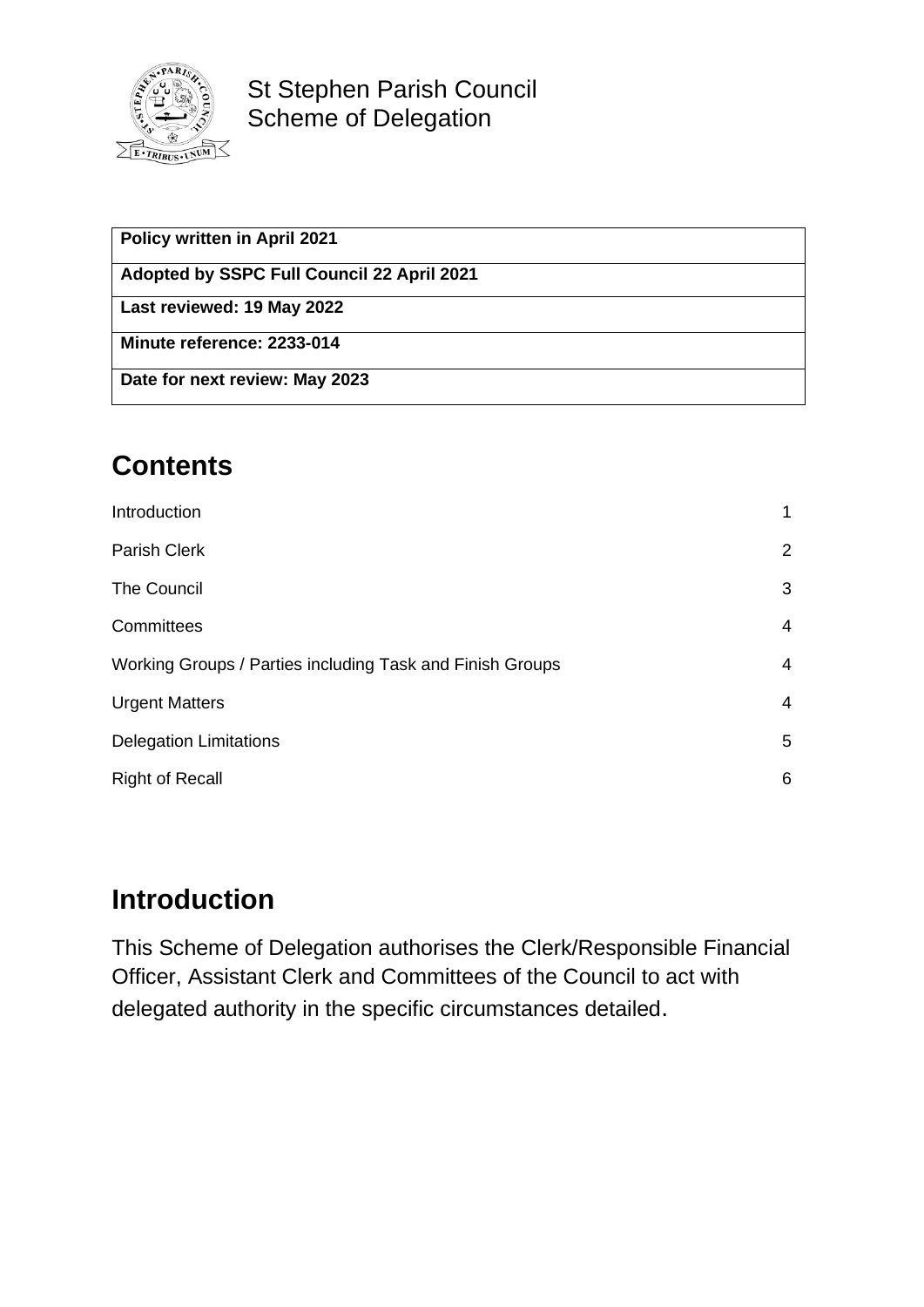

St Stephen Parish Council Scheme of Delegation

| <b>Policy written in April 2021</b>        |  |
|--------------------------------------------|--|
| Adopted by SSPC Full Council 22 April 2021 |  |
| Last reviewed: 19 May 2022                 |  |
| Minute reference: 2233-014                 |  |
| Date for next review: May 2023             |  |

# **Contents**

| Introduction                                              | 1              |
|-----------------------------------------------------------|----------------|
| Parish Clerk                                              | 2              |
| <b>The Council</b>                                        | 3              |
| Committees                                                | $\overline{4}$ |
| Working Groups / Parties including Task and Finish Groups | $\overline{4}$ |
| <b>Urgent Matters</b>                                     | $\overline{4}$ |
| <b>Delegation Limitations</b>                             | 5              |
| <b>Right of Recall</b>                                    | 6              |

# **Introduction**

This Scheme of Delegation authorises the Clerk/Responsible Financial Officer, Assistant Clerk and Committees of the Council to act with delegated authority in the specific circumstances detailed.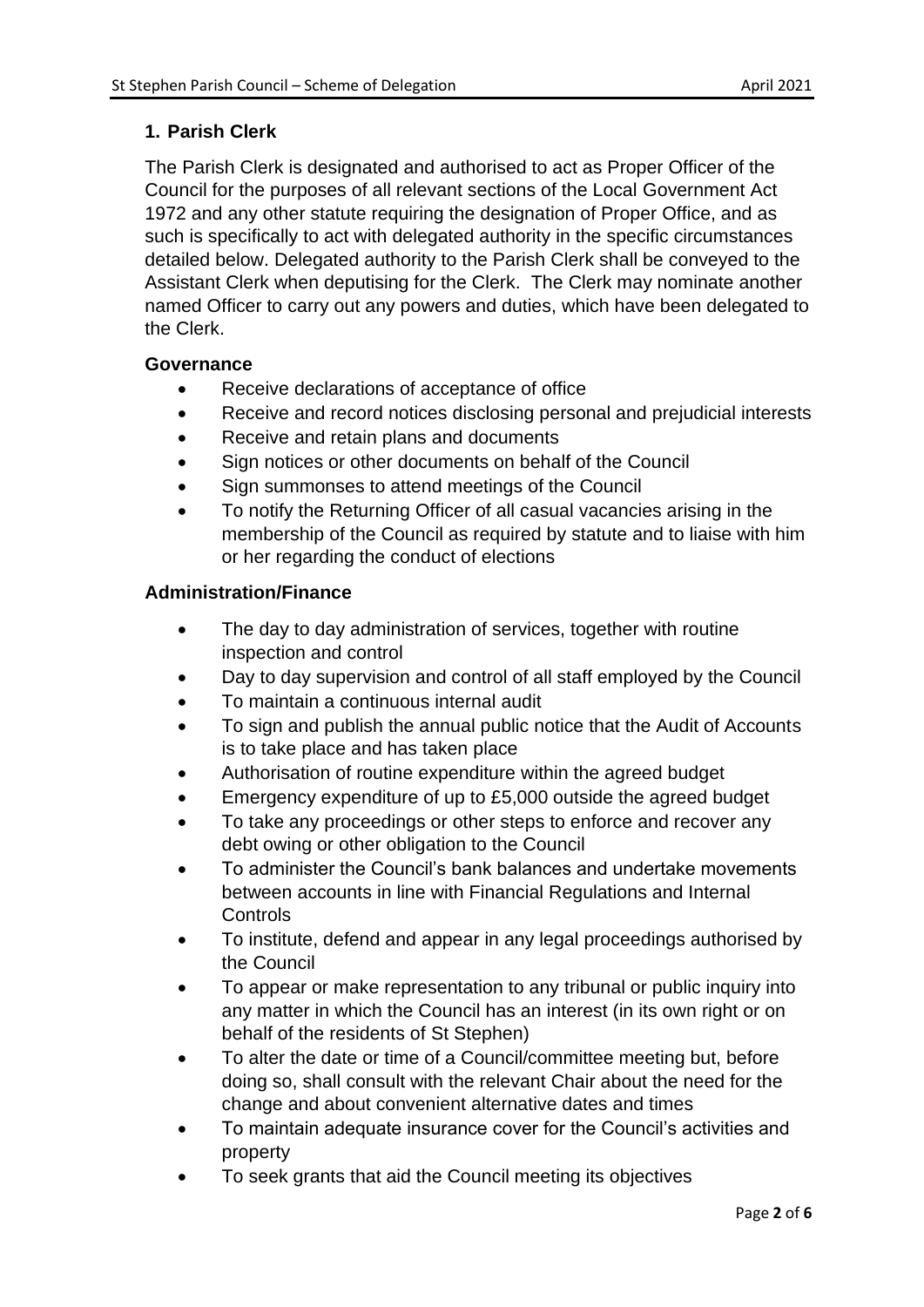# **1. Parish Clerk**

The Parish Clerk is designated and authorised to act as Proper Officer of the Council for the purposes of all relevant sections of the Local Government Act 1972 and any other statute requiring the designation of Proper Office, and as such is specifically to act with delegated authority in the specific circumstances detailed below. Delegated authority to the Parish Clerk shall be conveyed to the Assistant Clerk when deputising for the Clerk. The Clerk may nominate another named Officer to carry out any powers and duties, which have been delegated to the Clerk.

#### **Governance**

- Receive declarations of acceptance of office
- Receive and record notices disclosing personal and prejudicial interests
- Receive and retain plans and documents
- Sign notices or other documents on behalf of the Council
- Sign summonses to attend meetings of the Council
- To notify the Returning Officer of all casual vacancies arising in the membership of the Council as required by statute and to liaise with him or her regarding the conduct of elections

## **Administration/Finance**

- The day to day administration of services, together with routine inspection and control
- Day to day supervision and control of all staff employed by the Council
- To maintain a continuous internal audit
- To sign and publish the annual public notice that the Audit of Accounts is to take place and has taken place
- Authorisation of routine expenditure within the agreed budget
- Emergency expenditure of up to £5,000 outside the agreed budget
- To take any proceedings or other steps to enforce and recover any debt owing or other obligation to the Council
- To administer the Council's bank balances and undertake movements between accounts in line with Financial Regulations and Internal Controls
- To institute, defend and appear in any legal proceedings authorised by the Council
- To appear or make representation to any tribunal or public inquiry into any matter in which the Council has an interest (in its own right or on behalf of the residents of St Stephen)
- To alter the date or time of a Council/committee meeting but, before doing so, shall consult with the relevant Chair about the need for the change and about convenient alternative dates and times
- To maintain adequate insurance cover for the Council's activities and property
- To seek grants that aid the Council meeting its objectives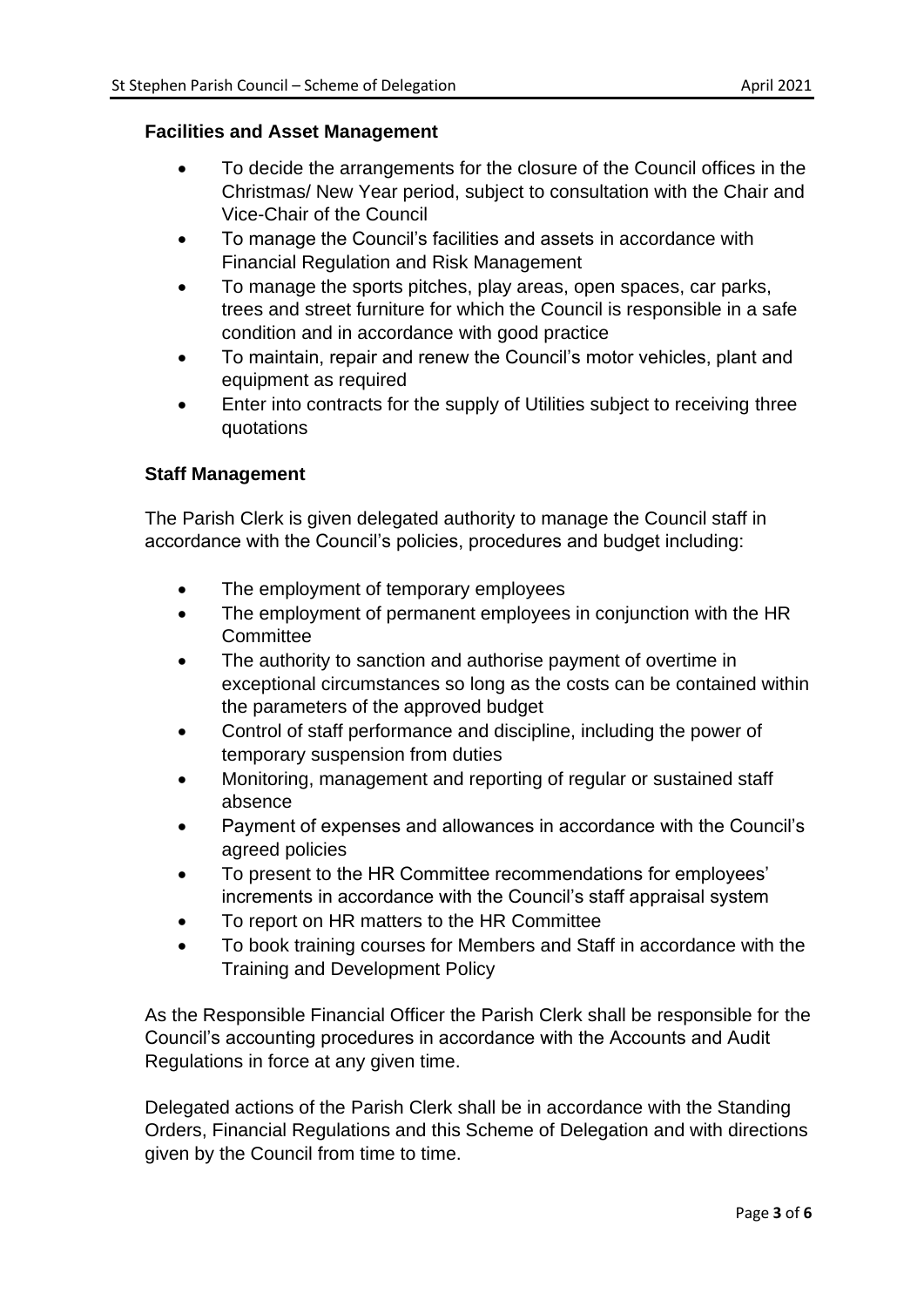#### **Facilities and Asset Management**

- To decide the arrangements for the closure of the Council offices in the Christmas/ New Year period, subject to consultation with the Chair and Vice-Chair of the Council
- To manage the Council's facilities and assets in accordance with Financial Regulation and Risk Management
- To manage the sports pitches, play areas, open spaces, car parks, trees and street furniture for which the Council is responsible in a safe condition and in accordance with good practice
- To maintain, repair and renew the Council's motor vehicles, plant and equipment as required
- Enter into contracts for the supply of Utilities subject to receiving three quotations

#### **Staff Management**

The Parish Clerk is given delegated authority to manage the Council staff in accordance with the Council's policies, procedures and budget including:

- The employment of temporary employees
- The employment of permanent employees in conjunction with the HR **Committee**
- The authority to sanction and authorise payment of overtime in exceptional circumstances so long as the costs can be contained within the parameters of the approved budget
- Control of staff performance and discipline, including the power of temporary suspension from duties
- Monitoring, management and reporting of regular or sustained staff absence
- Payment of expenses and allowances in accordance with the Council's agreed policies
- To present to the HR Committee recommendations for employees' increments in accordance with the Council's staff appraisal system
- To report on HR matters to the HR Committee
- To book training courses for Members and Staff in accordance with the Training and Development Policy

As the Responsible Financial Officer the Parish Clerk shall be responsible for the Council's accounting procedures in accordance with the Accounts and Audit Regulations in force at any given time.

Delegated actions of the Parish Clerk shall be in accordance with the Standing Orders, Financial Regulations and this Scheme of Delegation and with directions given by the Council from time to time.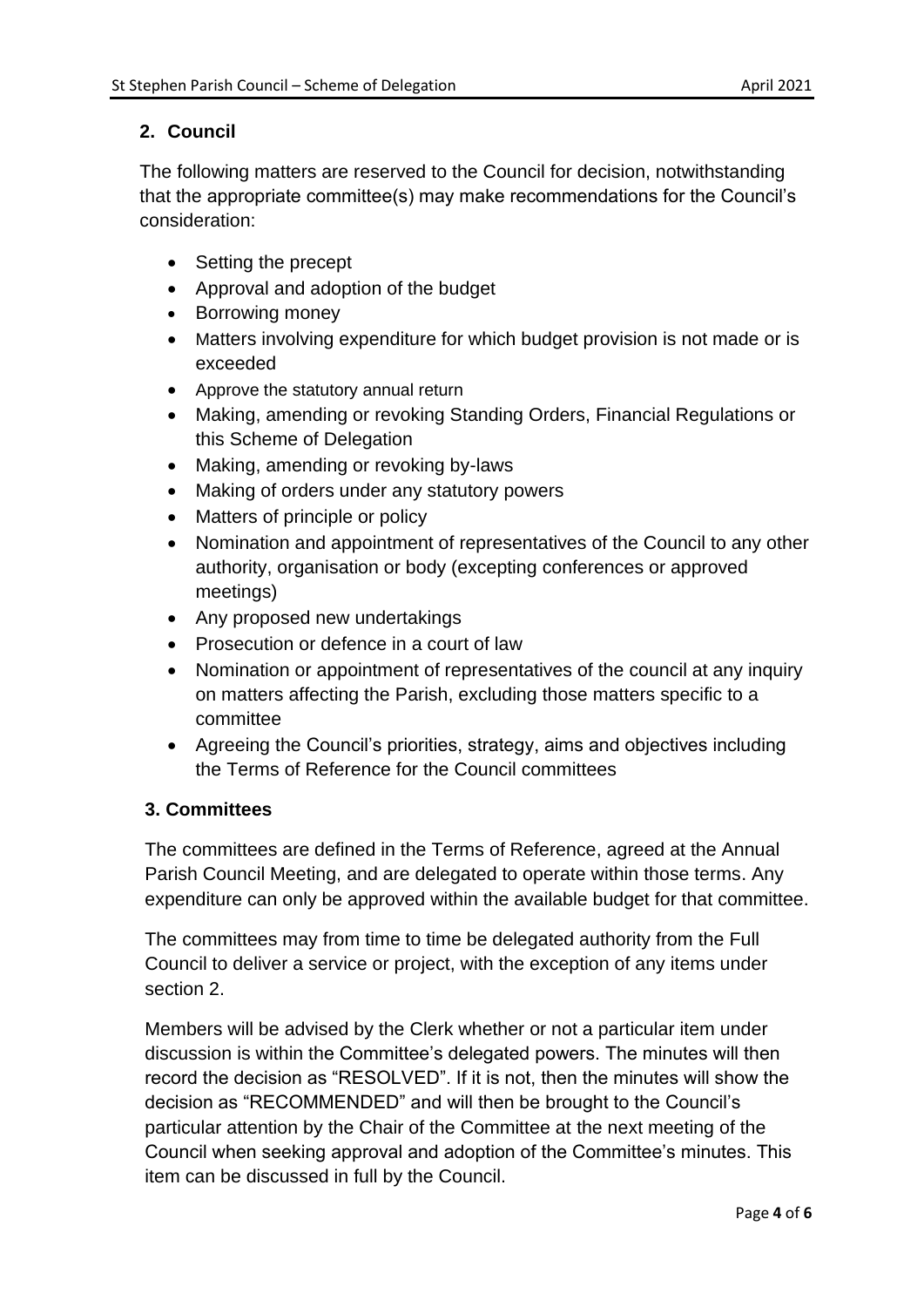# **2. Council**

The following matters are reserved to the Council for decision, notwithstanding that the appropriate committee(s) may make recommendations for the Council's consideration:

- Setting the precept
- Approval and adoption of the budget
- Borrowing money
- Matters involving expenditure for which budget provision is not made or is exceeded
- Approve the statutory annual return
- Making, amending or revoking Standing Orders, Financial Regulations or this Scheme of Delegation
- Making, amending or revoking by-laws
- Making of orders under any statutory powers
- Matters of principle or policy
- Nomination and appointment of representatives of the Council to any other authority, organisation or body (excepting conferences or approved meetings)
- Any proposed new undertakings
- Prosecution or defence in a court of law
- Nomination or appointment of representatives of the council at any inquiry on matters affecting the Parish, excluding those matters specific to a committee
- Agreeing the Council's priorities, strategy, aims and objectives including the Terms of Reference for the Council committees

## **3. Committees**

The committees are defined in the Terms of Reference, agreed at the Annual Parish Council Meeting, and are delegated to operate within those terms. Any expenditure can only be approved within the available budget for that committee.

The committees may from time to time be delegated authority from the Full Council to deliver a service or project, with the exception of any items under section 2.

Members will be advised by the Clerk whether or not a particular item under discussion is within the Committee's delegated powers. The minutes will then record the decision as "RESOLVED". If it is not, then the minutes will show the decision as "RECOMMENDED" and will then be brought to the Council's particular attention by the Chair of the Committee at the next meeting of the Council when seeking approval and adoption of the Committee's minutes. This item can be discussed in full by the Council.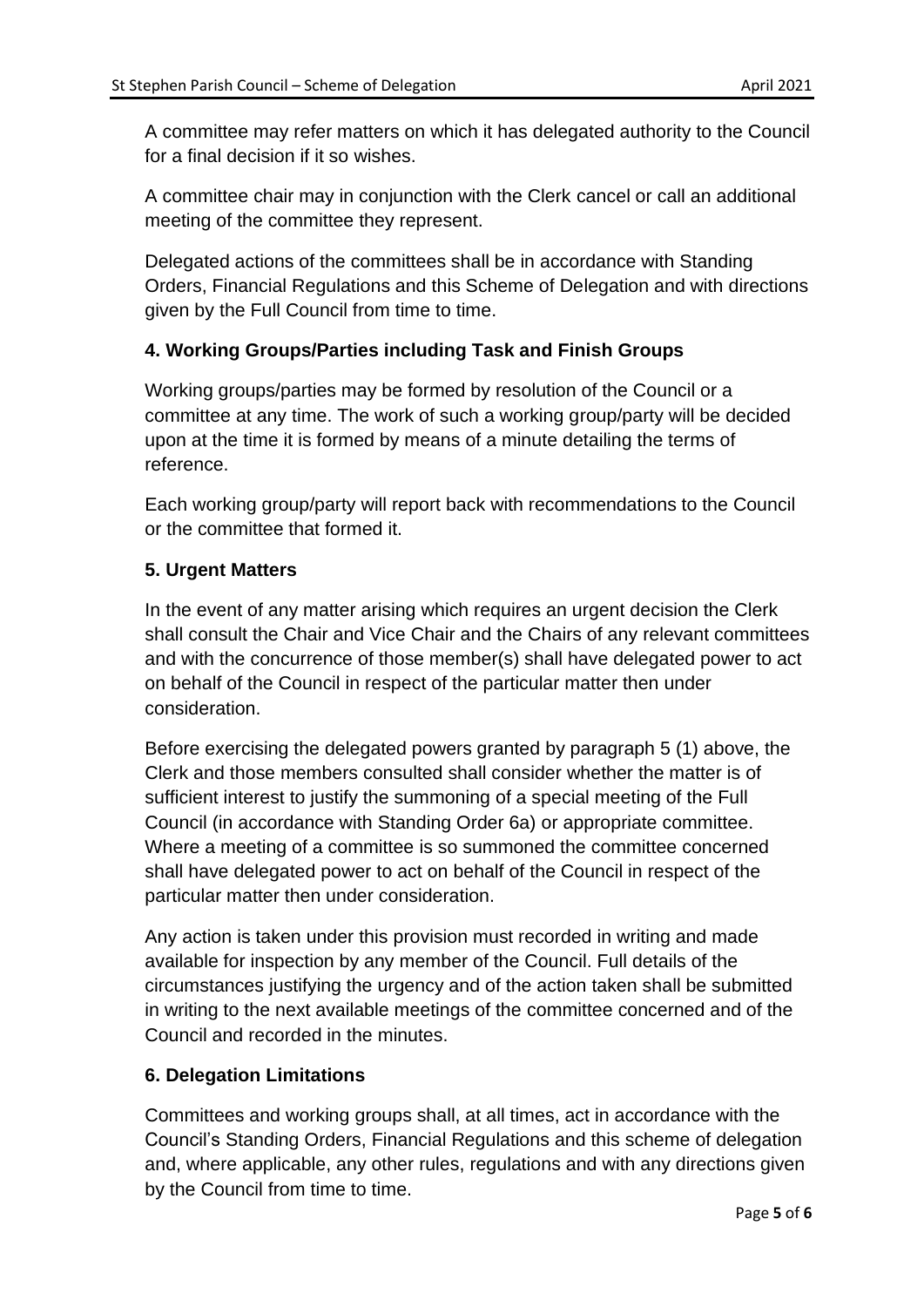A committee may refer matters on which it has delegated authority to the Council for a final decision if it so wishes.

A committee chair may in conjunction with the Clerk cancel or call an additional meeting of the committee they represent.

Delegated actions of the committees shall be in accordance with Standing Orders, Financial Regulations and this Scheme of Delegation and with directions given by the Full Council from time to time.

## **4. Working Groups/Parties including Task and Finish Groups**

Working groups/parties may be formed by resolution of the Council or a committee at any time. The work of such a working group/party will be decided upon at the time it is formed by means of a minute detailing the terms of reference.

Each working group/party will report back with recommendations to the Council or the committee that formed it.

## **5. Urgent Matters**

In the event of any matter arising which requires an urgent decision the Clerk shall consult the Chair and Vice Chair and the Chairs of any relevant committees and with the concurrence of those member(s) shall have delegated power to act on behalf of the Council in respect of the particular matter then under consideration.

Before exercising the delegated powers granted by paragraph 5 (1) above, the Clerk and those members consulted shall consider whether the matter is of sufficient interest to justify the summoning of a special meeting of the Full Council (in accordance with Standing Order 6a) or appropriate committee. Where a meeting of a committee is so summoned the committee concerned shall have delegated power to act on behalf of the Council in respect of the particular matter then under consideration.

Any action is taken under this provision must recorded in writing and made available for inspection by any member of the Council. Full details of the circumstances justifying the urgency and of the action taken shall be submitted in writing to the next available meetings of the committee concerned and of the Council and recorded in the minutes.

## **6. Delegation Limitations**

Committees and working groups shall, at all times, act in accordance with the Council's Standing Orders, Financial Regulations and this scheme of delegation and, where applicable, any other rules, regulations and with any directions given by the Council from time to time.